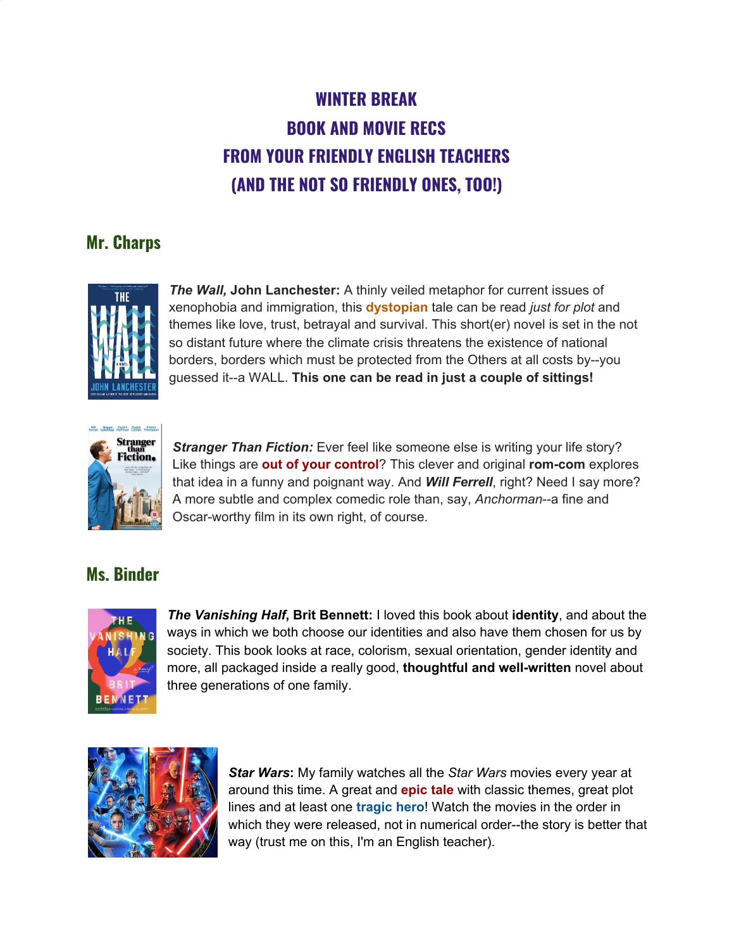# **WINTER BREAK BOOK AND MOVIE RECS FROM YOUR FRIENDLY ENGLISH TEACHERS (AND THE NOT SO FRIENDLY ONES, TOO!)**

# **Mr. Charps**



*The Wall,* **John Lanchester:** A thinly veiled metaphor for current issues of xenophobia and immigration, this **dystopian** tale can be read *just for plot* and themes like love, trust, betrayal and survival. This short(er) novel is set in the not so distant future where the climate crisis threatens the existence of national borders, borders which must be protected from the Others at all costs by--you guessed it--a WALL. **This one can be read in just a couple of sittings!**



*Stranger Than Fiction:* Ever feel like someone else is writing your life story? Like things are **out of your control**? This clever and original **rom-com** explores that idea in a funny and poignant way. And *Will Ferrell*, right? Need I say more? A more subtle and complex comedic role than, say, *Anchorman*--a fine and Oscar-worthy film in its own right, of course.

# **Ms. Binder**



*The Vanishing Half***, Brit Bennett:** I loved this book about **identity**, and about the ways in which we both choose our identities and also have them chosen for us by society. This book looks at race, colorism, sexual orientation, gender identity and more, all packaged inside a really good, **thoughtful and well-written** novel about three generations of one family.



*Star Wars***:** My family watches all the *Star Wars* movies every year at around this time. A great and **epic tale** with classic themes, great plot lines and at least one **tragic hero**! Watch the movies in the order in which they were released, not in numerical order--the story is better that way (trust me on this, I'm an English teacher).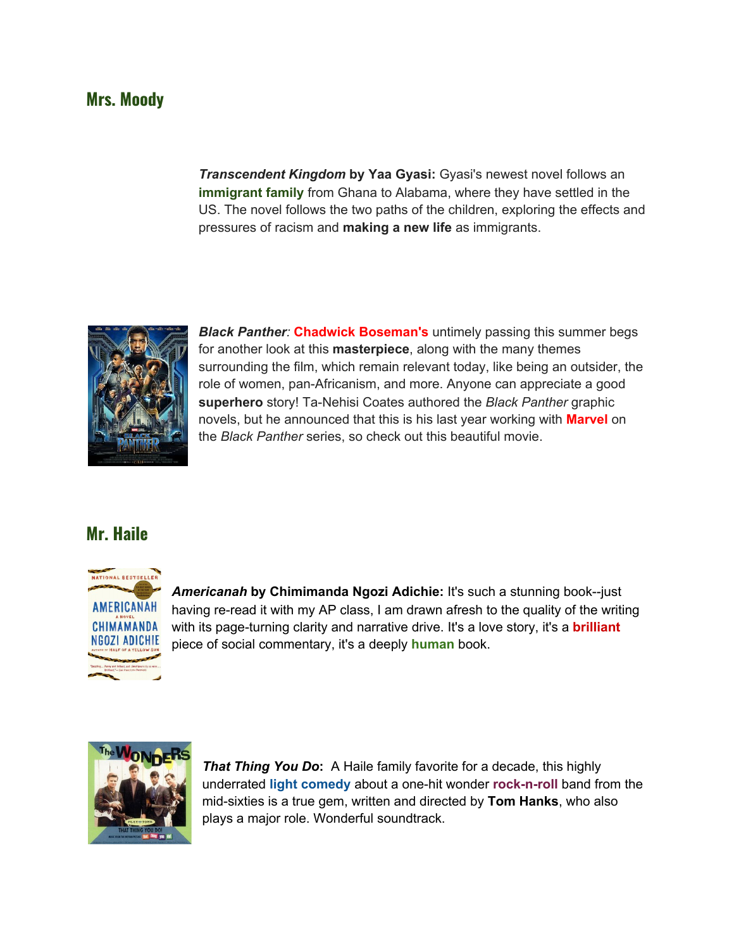#### **Mrs. Moody**

*Transcendent Kingdom* **by Yaa Gyasi:** Gyasi's newest novel follows an **immigrant family** from Ghana to Alabama, where they have settled in the US. The novel follows the two paths of the children, exploring the effects and pressures of racism and **making a new life** as immigrants.



*Black Panther:* **Chadwick Boseman's** untimely passing this summer begs for another look at this **masterpiece**, along with the many themes surrounding the film, which remain relevant today, like being an outsider, the role of women, pan-Africanism, and more. Anyone can appreciate a good **superhero** story! Ta-Nehisi Coates authored the *Black Panther* graphic novels, but he announced that this is his last year working with **Marvel** on the *Black Panther* series, so check out this beautiful movie.

#### **Mr. Haile**



*Americanah* **by Chimimanda Ngozi Adichie:** It's such a stunning book--just having re-read it with my AP class, I am drawn afresh to the quality of the writing with its page-turning clarity and narrative drive. It's a love story, it's a **brilliant** piece of social commentary, it's a deeply **human** book.



*That Thing You Do***:** A Haile family favorite for a decade, this highly underrated **light comedy** about a one-hit wonder **rock-n-roll** band from the mid-sixties is a true gem, written and directed by **Tom Hanks**, who also plays a major role. Wonderful soundtrack.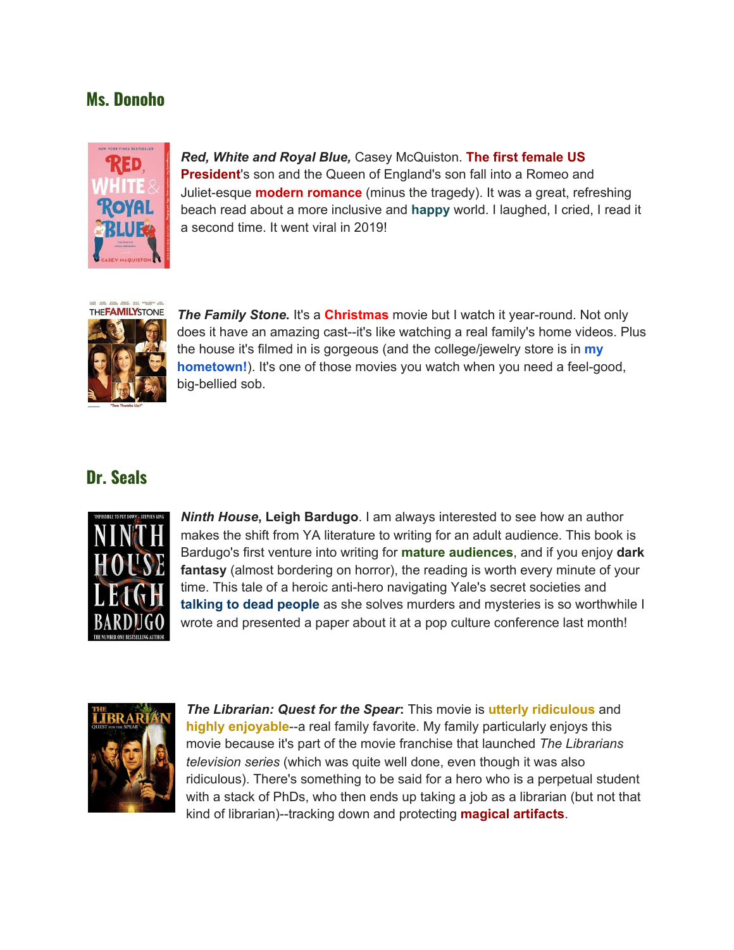## **Ms. Donoho**



*Red, White and Royal Blue,* Casey McQuiston. **The first female US President**'s son and the Queen of England's son fall into a Romeo and Juliet-esque **modern romance** (minus the tragedy). It was a great, refreshing beach read about a more inclusive and **happy** world. I laughed, I cried, I read it a second time. It went viral in 2019!



*The Family Stone.* It's a **Christmas** movie but I watch it year-round. Not only does it have an amazing cast--it's like watching a real family's home videos. Plus the house it's filmed in is gorgeous (and the college/jewelry store is in **my hometown!**). It's one of those movies you watch when you need a feel-good, big-bellied sob.

#### **Dr. Seals**



*Ninth House***, Leigh Bardugo**. I am always interested to see how an author makes the shift from YA literature to writing for an adult audience. This book is Bardugo's first venture into writing for **mature audiences**, and if you enjoy **dark fantasy** (almost bordering on horror), the reading is worth every minute of your time. This tale of a heroic anti-hero navigating Yale's secret societies and **talking to dead people** as she solves murders and mysteries is so worthwhile I wrote and presented a paper about it at a pop culture conference last month!



*The Librarian: Quest for the Spear***:** This movie is **utterly ridiculous** and **highly enjoyable**--a real family favorite. My family particularly enjoys this movie because it's part of the movie franchise that launched *The Librarians television series* (which was quite well done, even though it was also ridiculous). There's something to be said for a hero who is a perpetual student with a stack of PhDs, who then ends up taking a job as a librarian (but not that kind of librarian)--tracking down and protecting **magical artifacts**.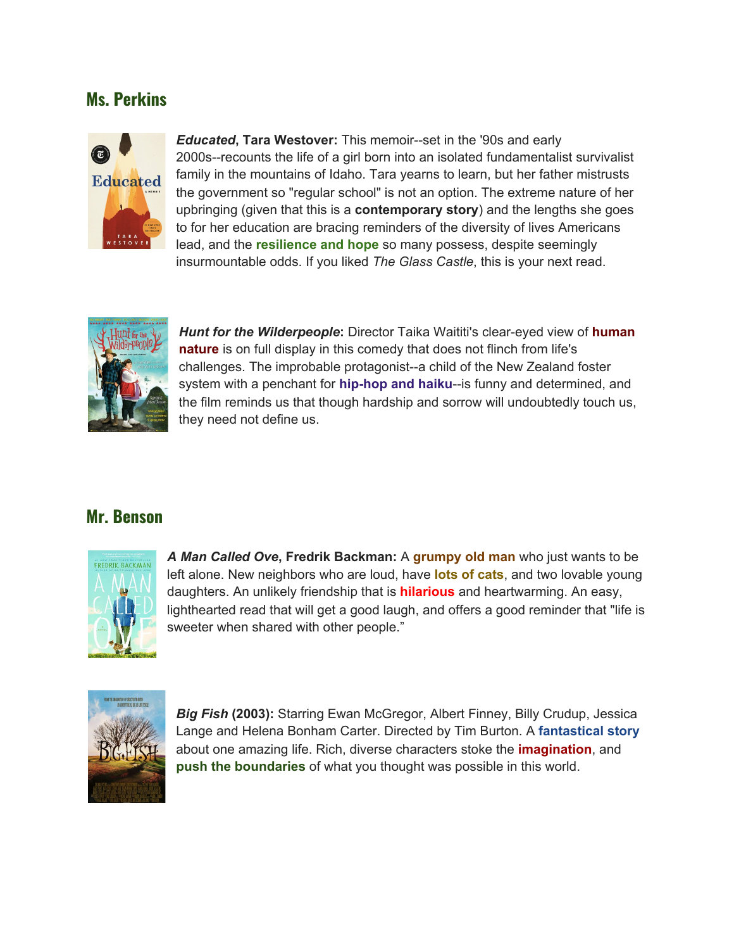# **Ms. Perkins**



*Educated***, Tara Westover:** This memoir--set in the '90s and early 2000s--recounts the life of a girl born into an isolated fundamentalist survivalist family in the mountains of Idaho. Tara yearns to learn, but her father mistrusts the government so "regular school" is not an option. The extreme nature of her upbringing (given that this is a **contemporary story**) and the lengths she goes to for her education are bracing reminders of the diversity of lives Americans lead, and the **resilience and hope** so many possess, despite seemingly insurmountable odds. If you liked *The Glass Castle*, this is your next read.

![](_page_3_Picture_3.jpeg)

*Hunt for the Wilderpeople***:** Director Taika Waititi's clear-eyed view of **human nature** is on full display in this comedy that does not flinch from life's challenges. The improbable protagonist--a child of the New Zealand foster system with a penchant for **hip-hop and haiku**--is funny and determined, and the film reminds us that though hardship and sorrow will undoubtedly touch us, they need not define us.

#### **Mr. Benson**

![](_page_3_Picture_6.jpeg)

*A Man Called Ove***, Fredrik Backman:** A **grumpy old man** who just wants to be left alone. New neighbors who are loud, have **lots of cats**, and two lovable young daughters. An unlikely friendship that is **hilarious** and heartwarming. An easy, lighthearted read that will get a good laugh, and offers a good reminder that "life is sweeter when shared with other people."

![](_page_3_Picture_8.jpeg)

*Big Fish* **(2003):** Starring Ewan McGregor, Albert Finney, Billy Crudup, Jessica Lange and Helena Bonham Carter. Directed by Tim Burton. A **fantastical story** about one amazing life. Rich, diverse characters stoke the **imagination**, and **push the boundaries** of what you thought was possible in this world.